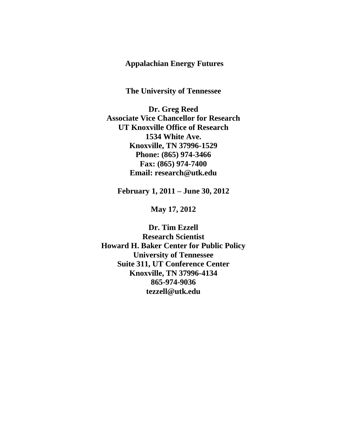# **Appalachian Energy Futures**

**The University of Tennessee**

**Dr. Greg Reed Associate Vice Chancellor for Research UT Knoxville Office of Research 1534 White Ave. Knoxville, TN 37996-1529 Phone: (865) 974-3466 Fax: (865) 974-7400 Email: research@utk.edu**

**February 1, 2011 – June 30, 2012**

**May 17, 2012**

**Dr. Tim Ezzell Research Scientist Howard H. Baker Center for Public Policy University of Tennessee Suite 311, UT Conference Center Knoxville, TN 37996-4134 865-974-9036 tezzell@utk.edu**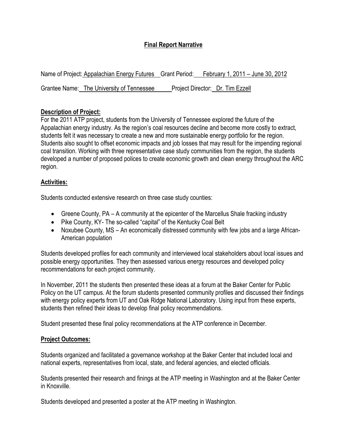# **Final Report Narrative**

|                                           | Name of Project: Appalachian Energy Futures Grant Period: February 1, 2011 – June 30, 2012 |
|-------------------------------------------|--------------------------------------------------------------------------------------------|
| Grantee Name: The University of Tennessee | Project Director: Dr. Tim Ezzell                                                           |

## **Description of Project:**

For the 2011 ATP project, students from the University of Tennessee explored the future of the Appalachian energy industry. As the region's coal resources decline and become more costly to extract, students felt it was necessary to create a new and more sustainable energy portfolio for the region. Students also sought to offset economic impacts and job losses that may result for the impending regional coal transition. Working with three representative case study communities from the region, the students developed a number of proposed polices to create economic growth and clean energy throughout the ARC region.

## **Activities:**

Students conducted extensive research on three case study counties:

- Greene County, PA A community at the epicenter of the Marcellus Shale fracking industry
- Pike County, KY- The so-called "capital" of the Kentucky Coal Belt
- Noxubee County, MS An economically distressed community with few jobs and a large African-American population

Students developed profiles for each community and interviewed local stakeholders about local issues and possible energy opportunities. They then assessed various energy resources and developed policy recommendations for each project community.

In November, 2011 the students then presented these ideas at a forum at the Baker Center for Public Policy on the UT campus. At the forum students presented community profiles and discussed their findings with energy policy experts from UT and Oak Ridge National Laboratory. Using input from these experts, students then refined their ideas to develop final policy recommendations.

Student presented these final policy recommendations at the ATP conference in December.

# **Project Outcomes:**

Students organized and facilitated a governance workshop at the Baker Center that included local and national experts, representatives from local, state, and federal agencies, and elected officials.

Students presented their research and finings at the ATP meeting in Washington and at the Baker Center in Knoxville.

Students developed and presented a poster at the ATP meeting in Washington.